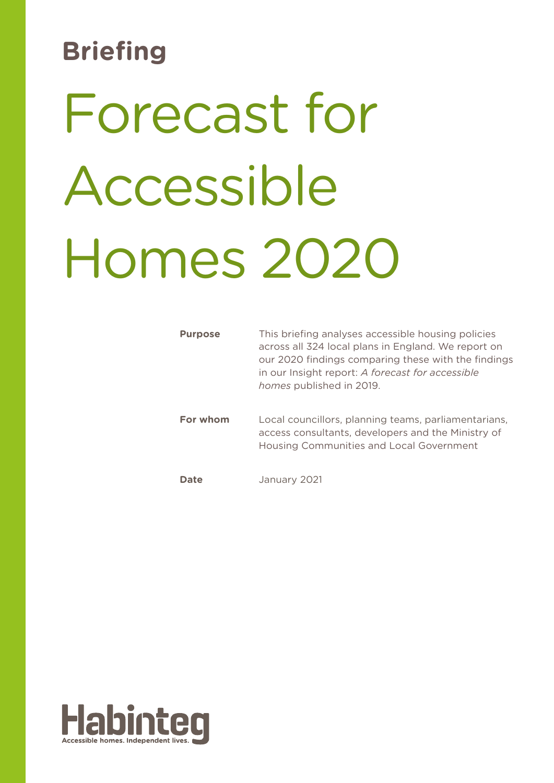# **Briefing**

# Forecast for Accessible Homes 2020

| <b>Purpose</b> | This briefing analyses accessible housing policies<br>across all 324 local plans in England. We report on<br>our 2020 findings comparing these with the findings<br>in our Insight report: A forecast for accessible<br>homes published in 2019. |
|----------------|--------------------------------------------------------------------------------------------------------------------------------------------------------------------------------------------------------------------------------------------------|
| For whom       | Local councillors, planning teams, parliamentarians,<br>access consultants, developers and the Ministry of<br>Housing Communities and Local Government                                                                                           |
| Date           | January 2021                                                                                                                                                                                                                                     |

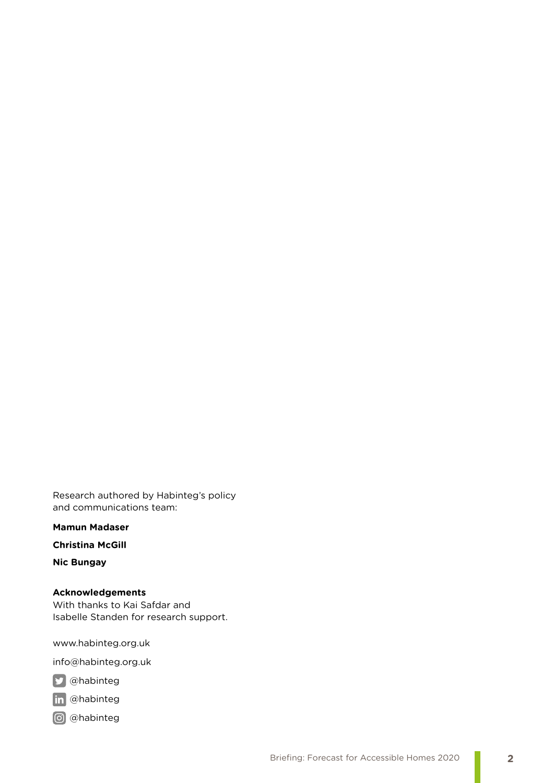Research authored by Habinteg's policy and communications team:

**Mamun Madaser**

**Christina McGill**

**Nic Bungay**

**Acknowledgements** With thanks to Kai Safdar and Isabelle Standen for research support.

www.habinteg.org.uk

info@habinteg.org.uk

**y** @habinteg

in @habinteg

@habinteg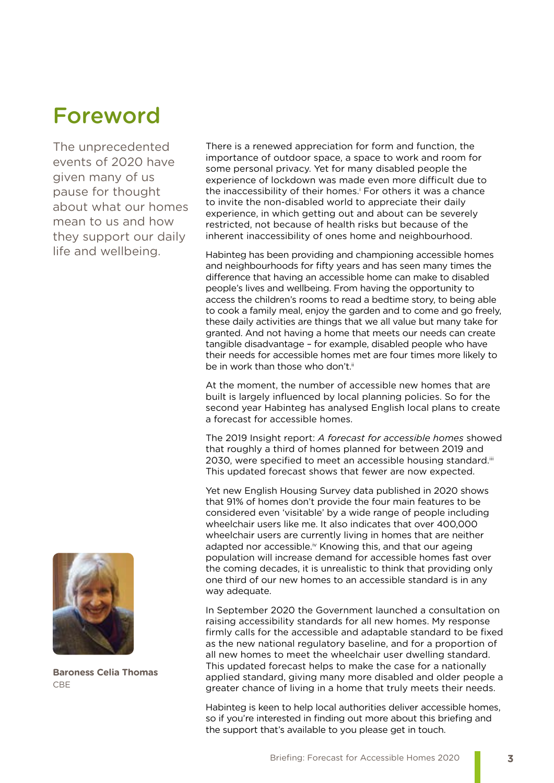# Foreword

The unprecedented events of 2020 have given many of us pause for thought about what our homes mean to us and how they support our daily life and wellbeing.



**Baroness Celia Thomas** CBE

There is a renewed appreciation for form and function, the importance of outdoor space, a space to work and room for some personal privacy. Yet for many disabled people the experience of lockdown was made even more difficult due to the inaccessibility of their homes.<sup>i</sup> For others it was a chance to invite the non-disabled world to appreciate their daily experience, in which getting out and about can be severely restricted, not because of health risks but because of the inherent inaccessibility of ones home and neighbourhood.

Habinteg has been providing and championing accessible homes and neighbourhoods for fifty years and has seen many times the difference that having an accessible home can make to disabled people's lives and wellbeing. From having the opportunity to access the children's rooms to read a bedtime story, to being able to cook a family meal, enjoy the garden and to come and go freely, these daily activities are things that we all value but many take for granted. And not having a home that meets our needs can create tangible disadvantage – for example, disabled people who have their needs for accessible homes met are four times more likely to be in work than those who don't ii

At the moment, the number of accessible new homes that are built is largely influenced by local planning policies. So for the second year Habinteg has analysed English local plans to create a forecast for accessible homes.

The 2019 Insight report: *A forecast for accessible homes* showed that roughly a third of homes planned for between 2019 and 2030, were specified to meet an accessible housing standard.iii This updated forecast shows that fewer are now expected.

Yet new English Housing Survey data published in 2020 shows that 91% of homes don't provide the four main features to be considered even 'visitable' by a wide range of people including wheelchair users like me. It also indicates that over 400,000 wheelchair users are currently living in homes that are neither adapted nor accessible.<sup>iv</sup> Knowing this, and that our ageing population will increase demand for accessible homes fast over the coming decades, it is unrealistic to think that providing only one third of our new homes to an accessible standard is in any way adequate.

In September 2020 the Government launched a consultation on raising accessibility standards for all new homes. My response firmly calls for the accessible and adaptable standard to be fixed as the new national regulatory baseline, and for a proportion of all new homes to meet the wheelchair user dwelling standard. This updated forecast helps to make the case for a nationally applied standard, giving many more disabled and older people a greater chance of living in a home that truly meets their needs.

Habinteg is keen to help local authorities deliver accessible homes, so if you're interested in finding out more about this briefing and the support that's available to you please get in touch.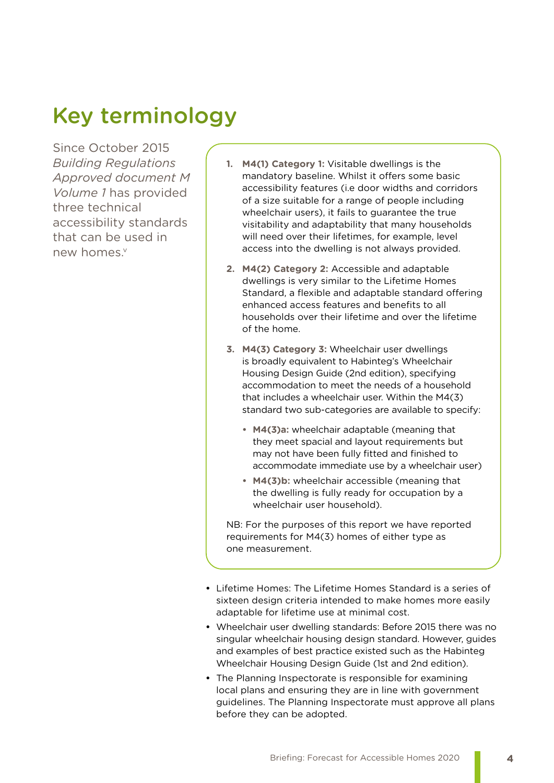# Key terminology

Since October 2015 *Building Regulations Approved document M Volume 1* has provided three technical accessibility standards that can be used in new homes.<sup>v</sup>

- **1. M4(1) Category 1:** Visitable dwellings is the mandatory baseline. Whilst it offers some basic accessibility features (i.e door widths and corridors of a size suitable for a range of people including wheelchair users), it fails to guarantee the true visitability and adaptability that many households will need over their lifetimes, for example, level access into the dwelling is not always provided.
- **2. M4(2) Category 2:** Accessible and adaptable dwellings is very similar to the Lifetime Homes Standard, a flexible and adaptable standard offering enhanced access features and benefits to all households over their lifetime and over the lifetime of the home.
- **3. M4(3) Category 3:** Wheelchair user dwellings is broadly equivalent to Habinteg's Wheelchair Housing Design Guide (2nd edition), specifying accommodation to meet the needs of a household that includes a wheelchair user. Within the M4(3) standard two sub-categories are available to specify:
	- **• M4(3)a:** wheelchair adaptable (meaning that they meet spacial and layout requirements but may not have been fully fitted and finished to accommodate immediate use by a wheelchair user)
	- **• M4(3)b:** wheelchair accessible (meaning that the dwelling is fully ready for occupation by a wheelchair user household).

NB: For the purposes of this report we have reported requirements for M4(3) homes of either type as one measurement.

- **•** Lifetime Homes: The Lifetime Homes Standard is a series of sixteen design criteria intended to make homes more easily adaptable for lifetime use at minimal cost.
- **•** Wheelchair user dwelling standards: Before 2015 there was no singular wheelchair housing design standard. However, guides and examples of best practice existed such as the Habinteg Wheelchair Housing Design Guide (1st and 2nd edition).
- **•** The Planning Inspectorate is responsible for examining local plans and ensuring they are in line with government guidelines. The Planning Inspectorate must approve all plans before they can be adopted.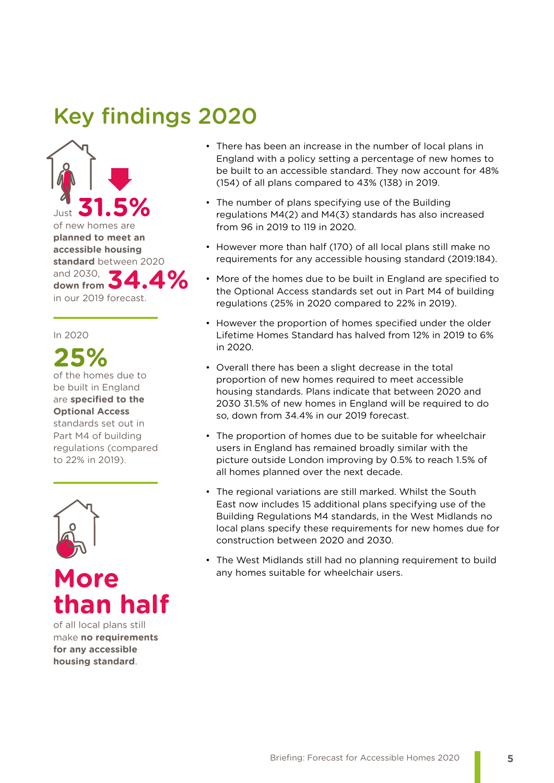# Key findings 2020



### In 2020

# **25%**

of the homes due to be built in England are **specified to the Optional Access**  standards set out in Part M4 of building regulations (compared to 22% in 2019).



# **More than half**

of all local plans still make **no requirements for any accessible housing standard**.

- There has been an increase in the number of local plans in England with a policy setting a percentage of new homes to be built to an accessible standard. They now account for 48% (154) of all plans compared to 43% (138) in 2019.
- The number of plans specifying use of the Building regulations M4(2) and M4(3) standards has also increased from 96 in 2019 to 119 in 2020.
- However more than half (170) of all local plans still make no requirements for any accessible housing standard (2019:184).
- More of the homes due to be built in England are specified to the Optional Access standards set out in Part M4 of building regulations (25% in 2020 compared to 22% in 2019).
- However the proportion of homes specified under the older Lifetime Homes Standard has halved from 12% in 2019 to 6% in 2020.
- Overall there has been a slight decrease in the total proportion of new homes required to meet accessible housing standards. Plans indicate that between 2020 and 2030 31.5% of new homes in England will be required to do so, down from 34.4% in our 2019 forecast.
- The proportion of homes due to be suitable for wheelchair users in England has remained broadly similar with the picture outside London improving by 0.5% to reach 1.5% of all homes planned over the next decade.
- The regional variations are still marked. Whilst the South East now includes 15 additional plans specifying use of the Building Regulations M4 standards, in the West Midlands no local plans specify these requirements for new homes due for construction between 2020 and 2030.
- The West Midlands still had no planning requirement to build any homes suitable for wheelchair users.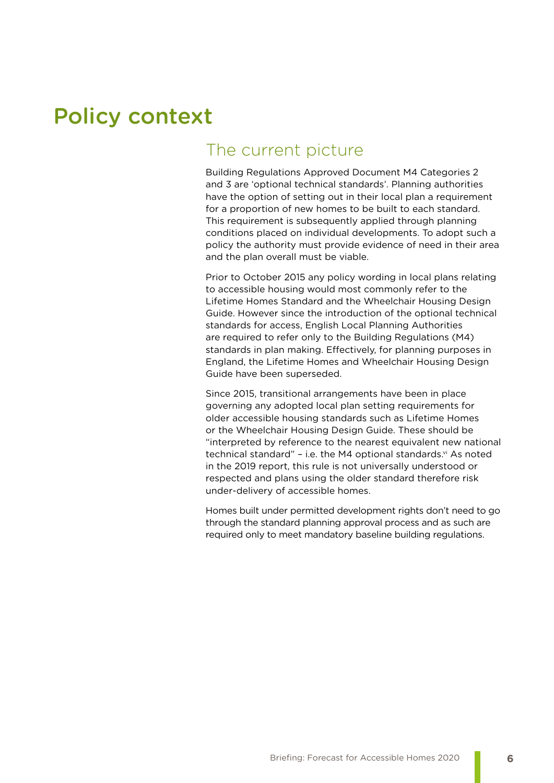# Policy context

### The current picture

Building Regulations Approved Document M4 Categories 2 and 3 are 'optional technical standards'. Planning authorities have the option of setting out in their local plan a requirement for a proportion of new homes to be built to each standard. This requirement is subsequently applied through planning conditions placed on individual developments. To adopt such a policy the authority must provide evidence of need in their area and the plan overall must be viable.

Prior to October 2015 any policy wording in local plans relating to accessible housing would most commonly refer to the Lifetime Homes Standard and the Wheelchair Housing Design Guide. However since the introduction of the optional technical standards for access, English Local Planning Authorities are required to refer only to the Building Regulations (M4) standards in plan making. Effectively, for planning purposes in England, the Lifetime Homes and Wheelchair Housing Design Guide have been superseded.

Since 2015, transitional arrangements have been in place governing any adopted local plan setting requirements for older accessible housing standards such as Lifetime Homes or the Wheelchair Housing Design Guide. These should be "interpreted by reference to the nearest equivalent new national technical standard" - i.e. the M4 optional standards.<sup>vi</sup> As noted in the 2019 report, this rule is not universally understood or respected and plans using the older standard therefore risk under-delivery of accessible homes.

Homes built under permitted development rights don't need to go through the standard planning approval process and as such are required only to meet mandatory baseline building regulations.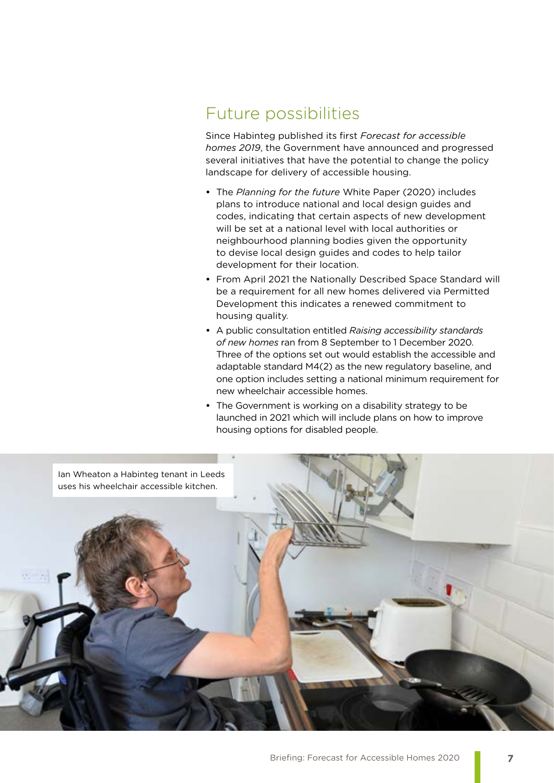### Future possibilities

Since Habinteg published its first *Forecast for accessible homes 2019*, the Government have announced and progressed several initiatives that have the potential to change the policy landscape for delivery of accessible housing.

- **•** The *Planning for the future* White Paper (2020) includes plans to introduce national and local design guides and codes, indicating that certain aspects of new development will be set at a national level with local authorities or neighbourhood planning bodies given the opportunity to devise local design guides and codes to help tailor development for their location.
- **•** From April 2021 the Nationally Described Space Standard will be a requirement for all new homes delivered via Permitted Development this indicates a renewed commitment to housing quality.
- **•** A public consultation entitled *Raising accessibility standards of new homes* ran from 8 September to 1 December 2020. Three of the options set out would establish the accessible and adaptable standard M4(2) as the new regulatory baseline, and one option includes setting a national minimum requirement for new wheelchair accessible homes.
- **•** The Government is working on a disability strategy to be launched in 2021 which will include plans on how to improve housing options for disabled people.

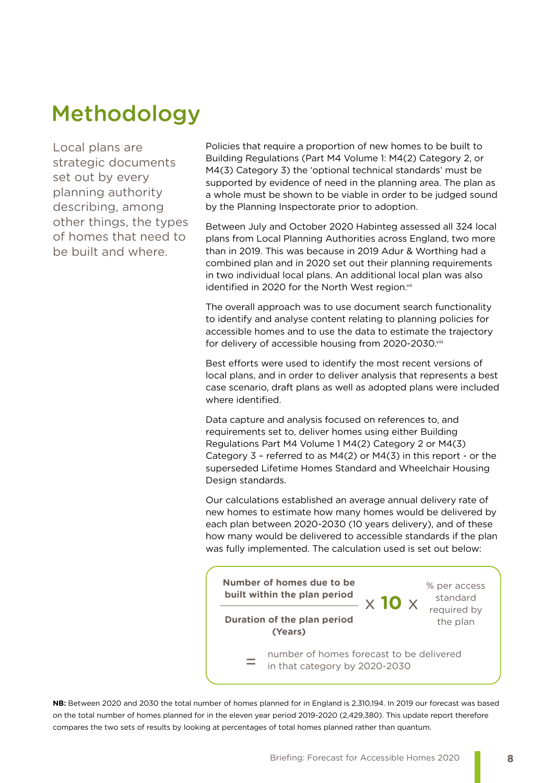# Methodology

Local plans are strategic documents set out by every planning authority describing, among other things, the types of homes that need to be built and where.

Policies that require a proportion of new homes to be built to Building Regulations (Part M4 Volume 1: M4(2) Category 2, or M4(3) Category 3) the 'optional technical standards' must be supported by evidence of need in the planning area. The plan as a whole must be shown to be viable in order to be judged sound by the Planning Inspectorate prior to adoption.

Between July and October 2020 Habinteg assessed all 324 local plans from Local Planning Authorities across England, two more than in 2019. This was because in 2019 Adur & Worthing had a combined plan and in 2020 set out their planning requirements in two individual local plans. An additional local plan was also identified in 2020 for the North West region.vii

The overall approach was to use document search functionality to identify and analyse content relating to planning policies for accessible homes and to use the data to estimate the trajectory for delivery of accessible housing from 2020-2030.viii

Best efforts were used to identify the most recent versions of local plans, and in order to deliver analysis that represents a best case scenario, draft plans as well as adopted plans were included where identified.

Data capture and analysis focused on references to, and requirements set to, deliver homes using either Building Regulations Part M4 Volume 1 M4(2) Category 2 or M4(3) Category 3 – referred to as M4(2) or M4(3) in this report - or the superseded Lifetime Homes Standard and Wheelchair Housing Design standards.

Our calculations established an average annual delivery rate of new homes to estimate how many homes would be delivered by each plan between 2020-2030 (10 years delivery), and of these how many would be delivered to accessible standards if the plan was fully implemented. The calculation used is set out below:



**NB:** Between 2020 and 2030 the total number of homes planned for in England is 2,310,194. In 2019 our forecast was based on the total number of homes planned for in the eleven year period 2019-2020 (2,429,380). This update report therefore compares the two sets of results by looking at percentages of total homes planned rather than quantum.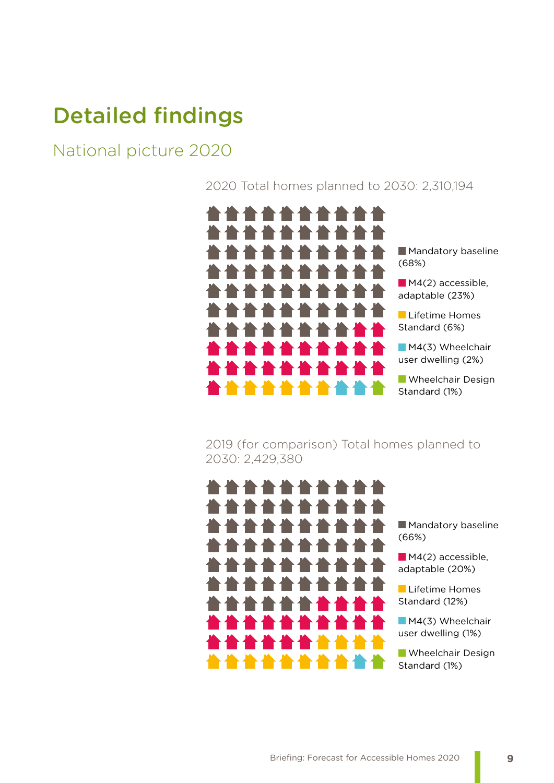# Detailed findings

## National picture 2020

2020 Total homes planned to 2030: 2,310,194



2019 (for comparison) Total homes planned to 2030: 2,429,380

 $\blacksquare$ 

**Mandatory baseline** (66%)

M4(2) accessible, adaptable (20%)

**Lifetime Homes** Standard (12%)

M4(3) Wheelchair user dwelling (1%)

**Wheelchair Design** Standard (1%)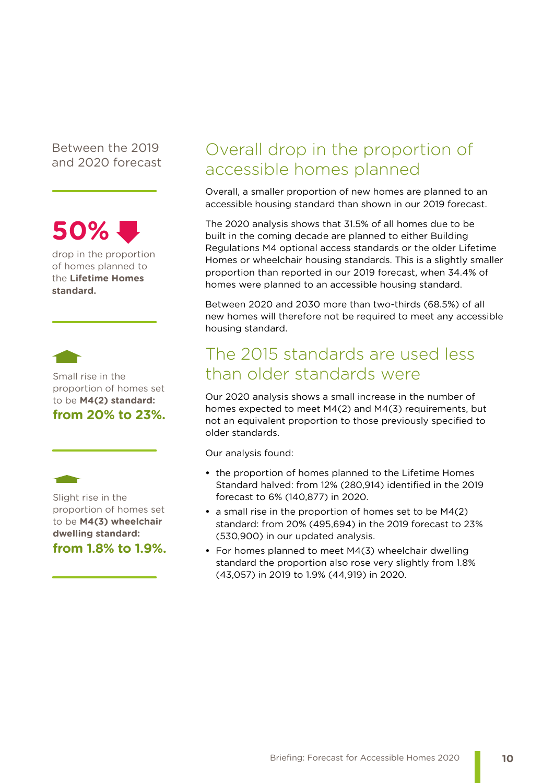Between the 2019 and 2020 forecast



drop in the proportion of homes planned to the **Lifetime Homes standard.**



Small rise in the proportion of homes set to be **M4(2) standard: from 20% to 23%.**



Slight rise in the proportion of homes set to be **M4(3) wheelchair dwelling standard: from 1.8% to 1.9%.** Overall drop in the proportion of accessible homes planned

Overall, a smaller proportion of new homes are planned to an accessible housing standard than shown in our 2019 forecast.

The 2020 analysis shows that 31.5% of all homes due to be built in the coming decade are planned to either Building Regulations M4 optional access standards or the older Lifetime Homes or wheelchair housing standards. This is a slightly smaller proportion than reported in our 2019 forecast, when 34.4% of homes were planned to an accessible housing standard.

Between 2020 and 2030 more than two-thirds (68.5%) of all new homes will therefore not be required to meet any accessible housing standard.

## The 2015 standards are used less than older standards were

Our 2020 analysis shows a small increase in the number of homes expected to meet M4(2) and M4(3) requirements, but not an equivalent proportion to those previously specified to older standards.

Our analysis found:

- **•** the proportion of homes planned to the Lifetime Homes Standard halved: from 12% (280,914) identified in the 2019 forecast to 6% (140,877) in 2020.
- **•** a small rise in the proportion of homes set to be M4(2) standard: from 20% (495,694) in the 2019 forecast to 23% (530,900) in our updated analysis.
- **•** For homes planned to meet M4(3) wheelchair dwelling standard the proportion also rose very slightly from 1.8% (43,057) in 2019 to 1.9% (44,919) in 2020.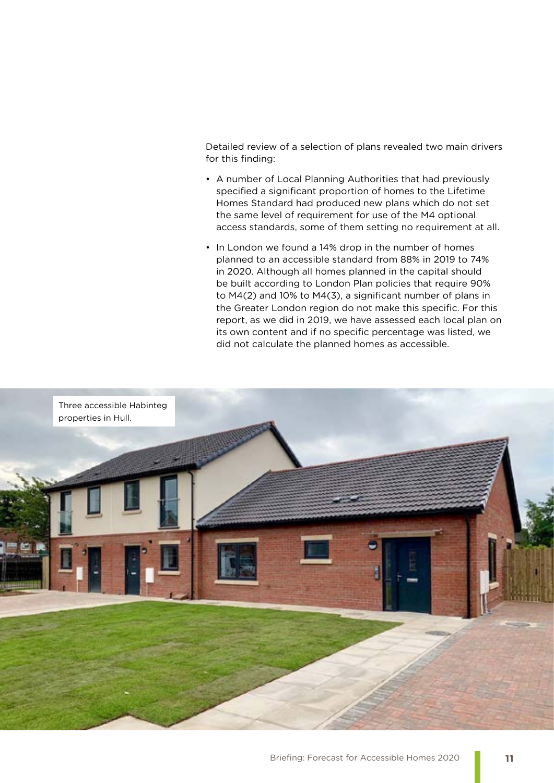Detailed review of a selection of plans revealed two main drivers for this finding:

- A number of Local Planning Authorities that had previously specified a significant proportion of homes to the Lifetime Homes Standard had produced new plans which do not set the same level of requirement for use of the M4 optional access standards, some of them setting no requirement at all.
- In London we found a 14% drop in the number of homes planned to an accessible standard from 88% in 2019 to 74% in 2020. Although all homes planned in the capital should be built according to London Plan policies that require 90% to M4(2) and 10% to M4(3), a significant number of plans in the Greater London region do not make this specific. For this report, as we did in 2019, we have assessed each local plan on its own content and if no specific percentage was listed, we did not calculate the planned homes as accessible.

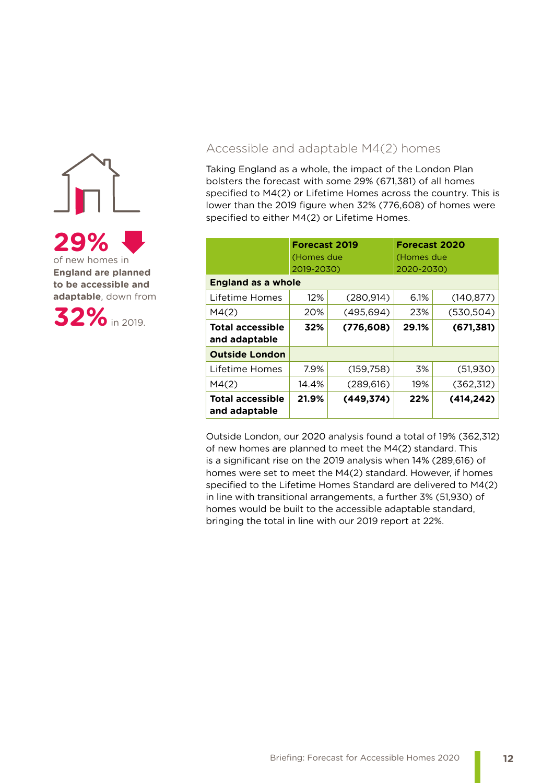

**England are planned to be accessible and adaptable**, down from



### Accessible and adaptable M4(2) homes

Taking England as a whole, the impact of the London Plan bolsters the forecast with some 29% (671,381) of all homes specified to M4(2) or Lifetime Homes across the country. This is lower than the 2019 figure when 32% (776,608) of homes were specified to either M4(2) or Lifetime Homes.

|                                          | <b>Forecast 2019</b><br>(Homes due<br>2019-2030) |            | <b>Forecast 2020</b><br>(Homes due<br>2020-2030) |                     |  |  |  |  |  |
|------------------------------------------|--------------------------------------------------|------------|--------------------------------------------------|---------------------|--|--|--|--|--|
| <b>England as a whole</b>                |                                                  |            |                                                  |                     |  |  |  |  |  |
| Lifetime Homes                           | 12%                                              | (280, 914) | 6.1%                                             | (140, 877)          |  |  |  |  |  |
| M4(2)                                    | 20%                                              | (495, 694) | 23%                                              | (530, 504)          |  |  |  |  |  |
| <b>Total accessible</b><br>and adaptable | 32%                                              | (776, 608) |                                                  | 29.1%<br>(671, 381) |  |  |  |  |  |
| <b>Outside London</b>                    |                                                  |            |                                                  |                     |  |  |  |  |  |
| Lifetime Homes                           | 7.9%                                             | (159, 758) | 3%                                               | (51, 930)           |  |  |  |  |  |
| M4(2)                                    | 14.4%                                            | (289, 616) | 19%                                              | (362, 312)          |  |  |  |  |  |
| <b>Total accessible</b><br>and adaptable | 21.9%                                            | (449, 374) | 22%                                              | (414, 242)          |  |  |  |  |  |

Outside London, our 2020 analysis found a total of 19% (362,312) of new homes are planned to meet the M4(2) standard. This is a significant rise on the 2019 analysis when 14% (289,616) of homes were set to meet the M4(2) standard. However, if homes specified to the Lifetime Homes Standard are delivered to M4(2) in line with transitional arrangements, a further 3% (51,930) of homes would be built to the accessible adaptable standard, bringing the total in line with our 2019 report at 22%.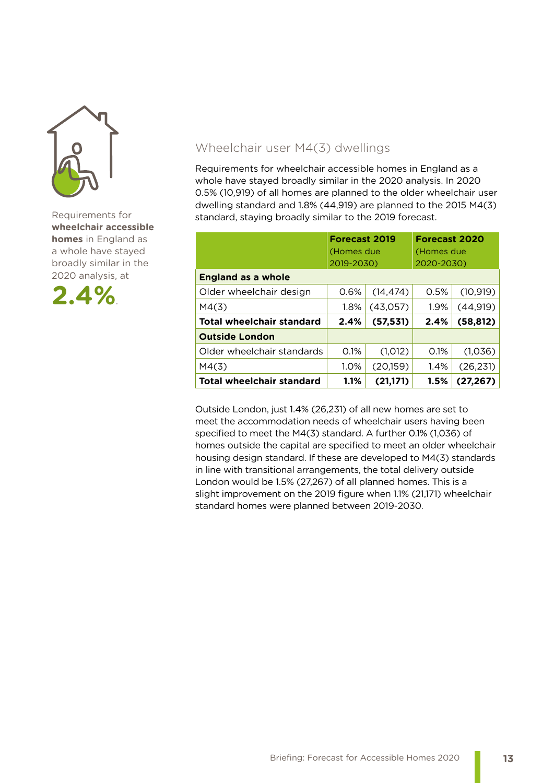

Requirements for **wheelchair accessible homes** in England as a whole have stayed broadly similar in the 2020 analysis, at



### Wheelchair user M4(3) dwellings

Requirements for wheelchair accessible homes in England as a whole have stayed broadly similar in the 2020 analysis. In 2020 0.5% (10,919) of all homes are planned to the older wheelchair user dwelling standard and 1.8% (44,919) are planned to the 2015 M4(3) standard, staying broadly similar to the 2019 forecast.

|                                  | <b>Forecast 2019</b><br>(Homes due<br>2019-2030) |           | <b>Forecast 2020</b><br>(Homes due<br>2020-2030) |           |  |  |  |  |
|----------------------------------|--------------------------------------------------|-----------|--------------------------------------------------|-----------|--|--|--|--|
| <b>England as a whole</b>        |                                                  |           |                                                  |           |  |  |  |  |
| Older wheelchair design          | 0.6%                                             | (14, 474) | 0.5%                                             | (10, 919) |  |  |  |  |
| M4(3)                            | 1.8%                                             | (43,057)  | 1.9%                                             | (44, 919) |  |  |  |  |
| <b>Total wheelchair standard</b> | 2.4%                                             | (57, 531) | 2.4%                                             | (58, 812) |  |  |  |  |
| <b>Outside London</b>            |                                                  |           |                                                  |           |  |  |  |  |
| Older wheelchair standards       | 0.1%                                             | (1,012)   | 0.1%                                             | (1,036)   |  |  |  |  |
| M4(3)                            | 1.0%                                             | (20,159)  | 1.4%                                             | (26, 231) |  |  |  |  |
| <b>Total wheelchair standard</b> | 1.1%                                             | (21,171)  | 1.5%                                             | (27, 267) |  |  |  |  |

Outside London, just 1.4% (26,231) of all new homes are set to meet the accommodation needs of wheelchair users having been specified to meet the M4(3) standard. A further 0.1% (1,036) of homes outside the capital are specified to meet an older wheelchair housing design standard. If these are developed to M4(3) standards in line with transitional arrangements, the total delivery outside London would be 1.5% (27,267) of all planned homes. This is a slight improvement on the 2019 figure when 1.1% (21,171) wheelchair standard homes were planned between 2019-2030.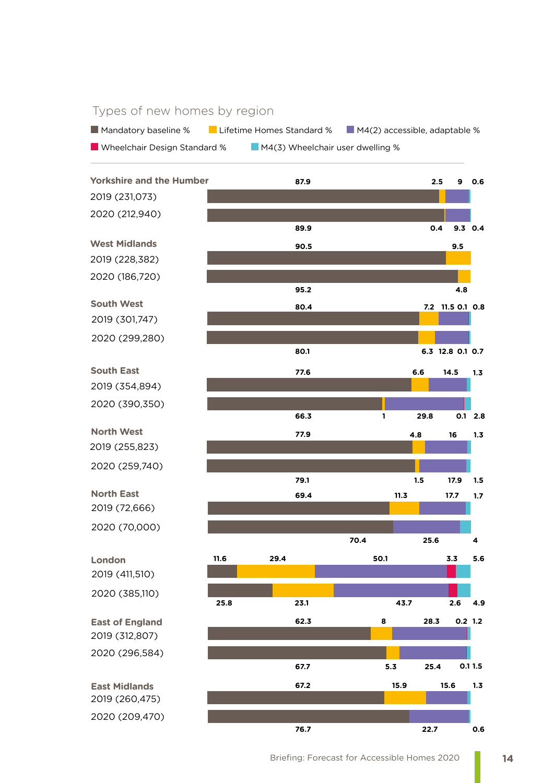### Types of new homes by region

Mandatory baseline % Lifetime Homes Standard % M4(2) accessible, adaptable %

**NAKA** Wheelchair Design Standard % M4(3) Wheelchair user dwelling %

2019 (231,073) **2.5 7.2 11.5 0.8 0.1 29.4 8 15.9 6.6 4.8 11.3 9.5 0.4 6.3 12.8 0.1 0.7 1 23.1 1.5 4.8 9 0.6 50.1 28.3 15.6 14.5 16 17.7 9.3 0.4 29.8 43.7 17.9 5.6 1.2 0.2 1.3 1.3 1.3 1.7 3.3 0.1 2.8 2.6 4.9 1.5 87.9 80.4 11.6 62.3 67.2 77.6 77.9 69.4 90.5 89.9 80.1 66.3 25.8 79.1 70.4 25.6 4 95.2** 2020 (212,940) 2019 (228,382) 2020 (186,720) 2019 (301,747) 2020 (299,280) 2019 (354,894) 2019 (255,823) 2019 (312,807) 2020 (296,584) 2019 (72,666) 2019 (411,510) 2020 (259,740) 2020 (70,000) 2020 (385,110) 2020 (390,350) **Yorkshire and the Humber West Midlands South West South East North West North East London East of England 5.3 25.4 0.1 1.5 67.7**

2019 (260,475) 2020 (209,470) **East Midlands**

**76.7**

**22.7**

**0.6**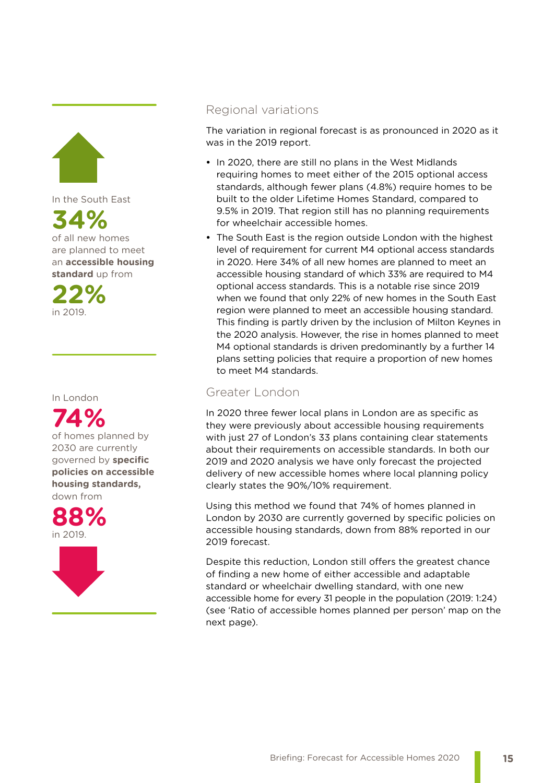

In the South East

**34%** of all new homes are planned to meet an **accessible housing standard** up from

**22%** in 2019.

### In London



down from





### Regional variations

The variation in regional forecast is as pronounced in 2020 as it was in the 2019 report.

- **•** In 2020, there are still no plans in the West Midlands requiring homes to meet either of the 2015 optional access standards, although fewer plans (4.8%) require homes to be built to the older Lifetime Homes Standard, compared to 9.5% in 2019. That region still has no planning requirements for wheelchair accessible homes.
- **•** The South East is the region outside London with the highest level of requirement for current M4 optional access standards in 2020. Here 34% of all new homes are planned to meet an accessible housing standard of which 33% are required to M4 optional access standards. This is a notable rise since 2019 when we found that only 22% of new homes in the South East region were planned to meet an accessible housing standard. This finding is partly driven by the inclusion of Milton Keynes in the 2020 analysis. However, the rise in homes planned to meet M4 optional standards is driven predominantly by a further 14 plans setting policies that require a proportion of new homes to meet M4 standards.

### Greater London

In 2020 three fewer local plans in London are as specific as they were previously about accessible housing requirements with just 27 of London's 33 plans containing clear statements about their requirements on accessible standards. In both our 2019 and 2020 analysis we have only forecast the projected delivery of new accessible homes where local planning policy clearly states the 90%/10% requirement.

Using this method we found that 74% of homes planned in London by 2030 are currently governed by specific policies on accessible housing standards, down from 88% reported in our 2019 forecast.

Despite this reduction, London still offers the greatest chance of finding a new home of either accessible and adaptable standard or wheelchair dwelling standard, with one new accessible home for every 31 people in the population (2019: 1:24) (see 'Ratio of accessible homes planned per person' map on the next page).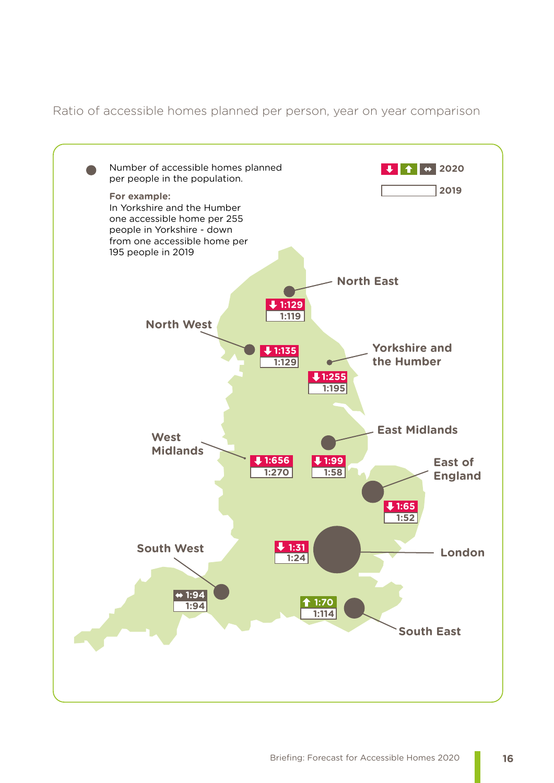Ratio of accessible homes planned per person, year on year comparison

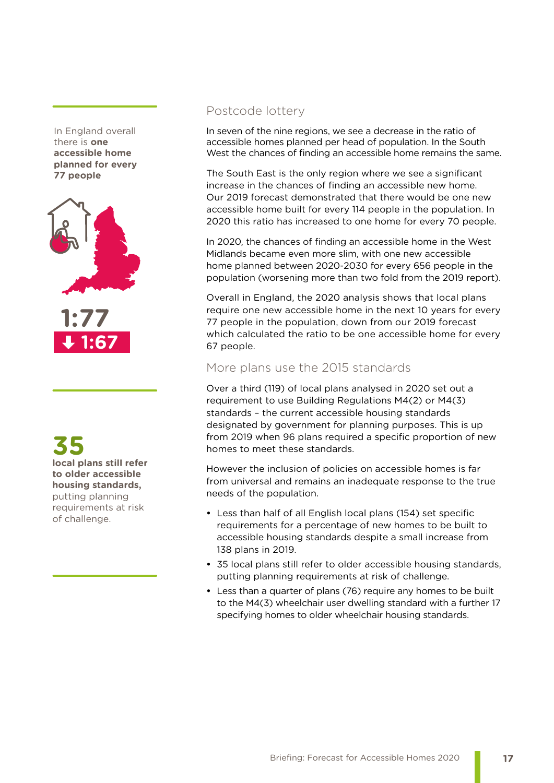In England overall there is **one accessible home planned for every 77 people**



**1:67**

**35 local plans still refer to older accessible housing standards,**  putting planning requirements at risk of challenge.

### Postcode lottery

In seven of the nine regions, we see a decrease in the ratio of accessible homes planned per head of population. In the South West the chances of finding an accessible home remains the same.

The South East is the only region where we see a significant increase in the chances of finding an accessible new home. Our 2019 forecast demonstrated that there would be one new accessible home built for every 114 people in the population. In 2020 this ratio has increased to one home for every 70 people.

In 2020, the chances of finding an accessible home in the West Midlands became even more slim, with one new accessible home planned between 2020-2030 for every 656 people in the population (worsening more than two fold from the 2019 report).

Overall in England, the 2020 analysis shows that local plans require one new accessible home in the next 10 years for every 77 people in the population, down from our 2019 forecast which calculated the ratio to be one accessible home for every 67 people.

### More plans use the 2015 standards

Over a third (119) of local plans analysed in 2020 set out a requirement to use Building Regulations M4(2) or M4(3) standards – the current accessible housing standards designated by government for planning purposes. This is up from 2019 when 96 plans required a specific proportion of new homes to meet these standards.

However the inclusion of policies on accessible homes is far from universal and remains an inadequate response to the true needs of the population.

- **•** Less than half of all English local plans (154) set specific requirements for a percentage of new homes to be built to accessible housing standards despite a small increase from 138 plans in 2019.
- **•** 35 local plans still refer to older accessible housing standards, putting planning requirements at risk of challenge.
- **•** Less than a quarter of plans (76) require any homes to be built to the M4(3) wheelchair user dwelling standard with a further 17 specifying homes to older wheelchair housing standards.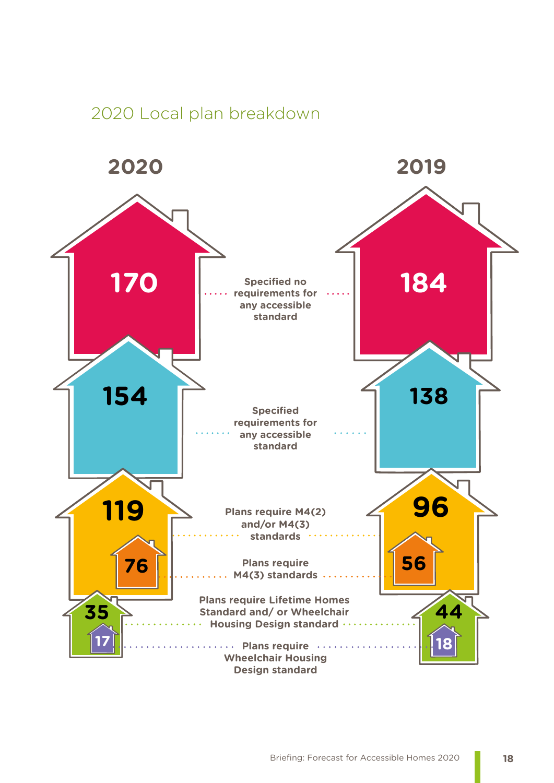### 2020 Local plan breakdown

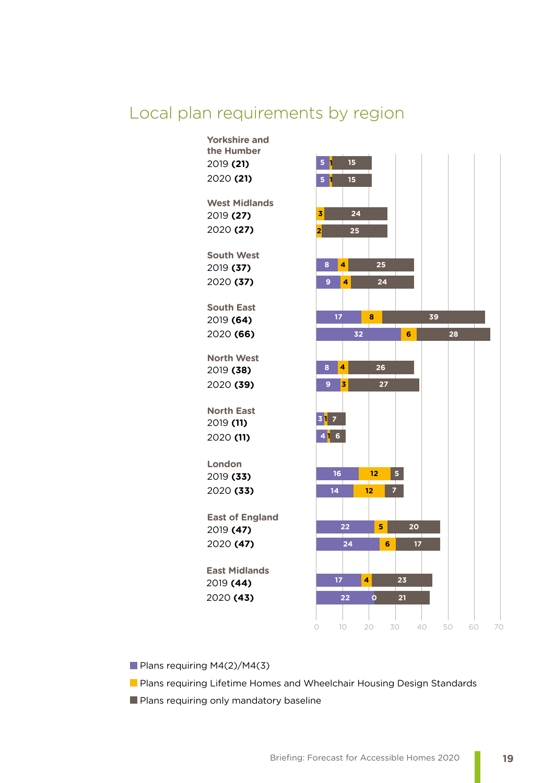### Local plan requirements by region



Plans requiring M4(2)/M4(3)

**Plans requiring Lifetime Homes and Wheelchair Housing Design Standards** 

**Plans requiring only mandatory baseline**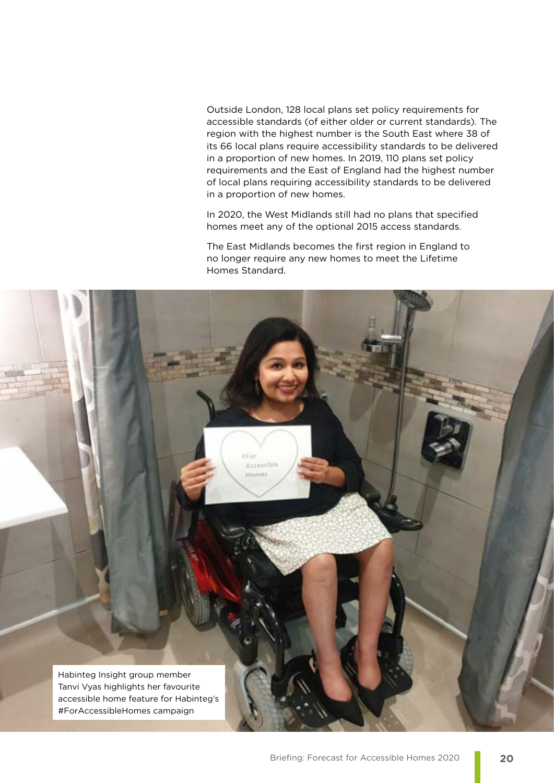Outside London, 128 local plans set policy requirements for accessible standards (of either older or current standards). The region with the highest number is the South East where 38 of its 66 local plans require accessibility standards to be delivered in a proportion of new homes. In 2019, 110 plans set policy requirements and the East of England had the highest number of local plans requiring accessibility standards to be delivered in a proportion of new homes.

In 2020, the West Midlands still had no plans that specified homes meet any of the optional 2015 access standards.

The East Midlands becomes the first region in England to no longer require any new homes to meet the Lifetime Homes Standard.

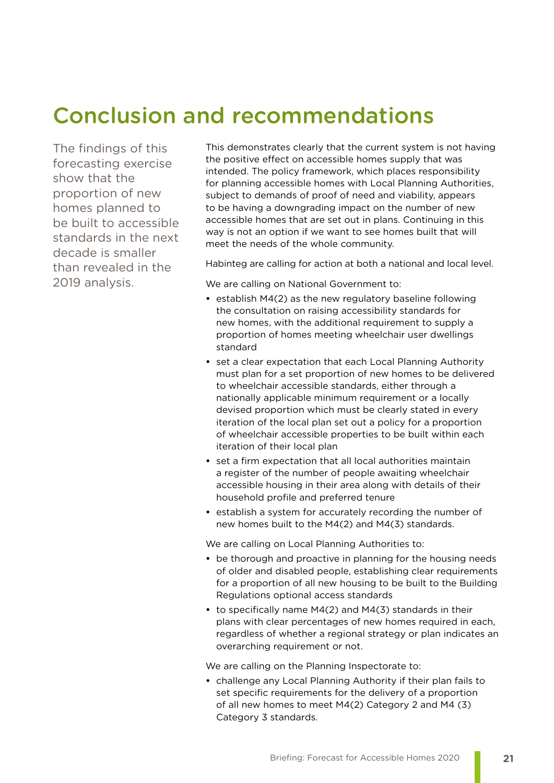# Conclusion and recommendations

The findings of this forecasting exercise show that the proportion of new homes planned to be built to accessible standards in the next decade is smaller than revealed in the 2019 analysis.

This demonstrates clearly that the current system is not having the positive effect on accessible homes supply that was intended. The policy framework, which places responsibility for planning accessible homes with Local Planning Authorities, subject to demands of proof of need and viability, appears to be having a downgrading impact on the number of new accessible homes that are set out in plans. Continuing in this way is not an option if we want to see homes built that will meet the needs of the whole community.

Habinteg are calling for action at both a national and local level.

We are calling on National Government to:

- **•** establish M4(2) as the new regulatory baseline following the consultation on raising accessibility standards for new homes, with the additional requirement to supply a proportion of homes meeting wheelchair user dwellings standard
- **•** set a clear expectation that each Local Planning Authority must plan for a set proportion of new homes to be delivered to wheelchair accessible standards, either through a nationally applicable minimum requirement or a locally devised proportion which must be clearly stated in every iteration of the local plan set out a policy for a proportion of wheelchair accessible properties to be built within each iteration of their local plan
- **•** set a firm expectation that all local authorities maintain a register of the number of people awaiting wheelchair accessible housing in their area along with details of their household profile and preferred tenure
- **•** establish a system for accurately recording the number of new homes built to the M4(2) and M4(3) standards.

We are calling on Local Planning Authorities to:

- **•** be thorough and proactive in planning for the housing needs of older and disabled people, establishing clear requirements for a proportion of all new housing to be built to the Building Regulations optional access standards
- **•** to specifically name M4(2) and M4(3) standards in their plans with clear percentages of new homes required in each, regardless of whether a regional strategy or plan indicates an overarching requirement or not.

We are calling on the Planning Inspectorate to:

**•** challenge any Local Planning Authority if their plan fails to set specific requirements for the delivery of a proportion of all new homes to meet M4(2) Category 2 and M4 (3) Category 3 standards.